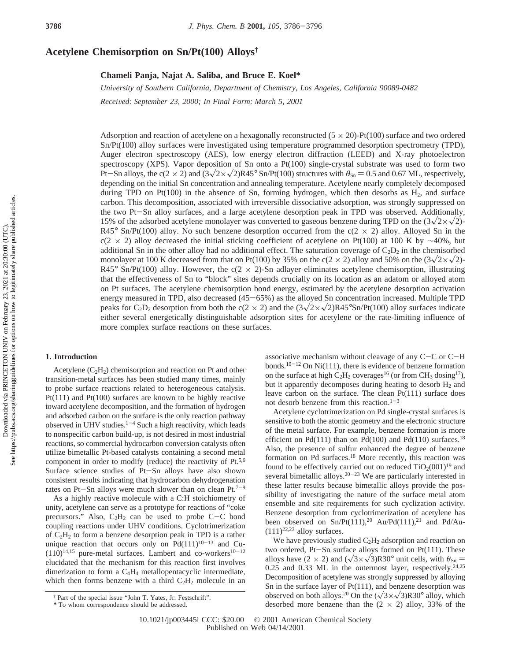# **Acetylene Chemisorption on Sn/Pt(100) Alloys†**

## **Chameli Panja, Najat A. Saliba, and Bruce E. Koel\***

*Uni*V*ersity of Southern California, Department of Chemistry, Los Angeles, California 90089-0482 Recei*V*ed: September 23, 2000; In Final Form: March 5, 2001*

Adsorption and reaction of acetylene on a hexagonally reconstructed  $(5 \times 20)$ -Pt $(100)$  surface and two ordered Sn/Pt(100) alloy surfaces were investigated using temperature programmed desorption spectrometry (TPD), Auger electron spectroscopy (AES), low energy electron diffraction (LEED) and X-ray photoelectron spectroscopy (XPS). Vapor deposition of Sn onto a Pt(100) single-crystal substrate was used to form two Pt-Sn alloys, the c(2 × 2) and  $(3\sqrt{2}\times\sqrt{2})R45^\circ$  Sn/Pt(100) structures with  $\theta_{\text{Sn}} = 0.5$  and 0.67 ML, respectively, depending on the initial Sn concentration and annealing temperature. Acetylene nearly completely decomposed during TPD on Pt(100) in the absence of Sn, forming hydrogen, which then desorbs as  $H_2$ , and surface carbon. This decomposition, associated with irreversible dissociative adsorption, was strongly suppressed on the two Pt-Sn alloy surfaces, and a large acetylene desorption peak in TPD was observed. Additionally, 15% of the adsorbed acetylene monolayer was converted to gaseous benzene during TPD on the  $(3\sqrt{2}\times\sqrt{2})$ -R45° Sn/Pt(100) alloy. No such benzene desorption occurred from the  $c(2 \times 2)$  alloy. Alloyed Sn in the c(2 × 2) alloy decreased the initial sticking coefficient of acetylene on Pt(100) at 100 K by ∼40%, but additional Sn in the other alloy had no additional effect. The saturation coverage of  $C_2D_2$  in the chemisorbed monolayer at 100 K decreased from that on Pt(100) by 35% on the c(2  $\times$  2) alloy and 50% on the (3 $\sqrt{2}\times\sqrt{2}$ )-R45° Sn/Pt(100) alloy. However, the c(2  $\times$  2)-Sn adlayer eliminates acetylene chemisorption, illustrating that the effectiveness of Sn to "block" sites depends crucially on its location as an adatom or alloyed atom on Pt surfaces. The acetylene chemisorption bond energy, estimated by the acetylene desorption activation energy measured in TPD, also decreased (45-65%) as the alloyed Sn concentration increased. Multiple TPD peaks for C<sub>2</sub>D<sub>2</sub> desorption from both the c(2 × 2) and the  $(3\sqrt{2}\times\sqrt{2})R45^{\circ}Sn/Pt(100)$  alloy surfaces indicate either several energetically distinguishable adsorption sites for acetylene or the rate-limiting influence of more complex surface reactions on these surfaces.

# **1. Introduction**

Acetylene  $(C<sub>2</sub>H<sub>2</sub>)$  chemisorption and reaction on Pt and other transition-metal surfaces has been studied many times, mainly to probe surface reactions related to heterogeneous catalysis. Pt(111) and Pt(100) surfaces are known to be highly reactive toward acetylene decomposition, and the formation of hydrogen and adsorbed carbon on the surface is the only reaction pathway observed in UHV studies.<sup>1-4</sup> Such a high reactivity, which leads to nonspecific carbon build-up, is not desired in most industrial reactions, so commercial hydrocarbon conversion catalysts often utilize bimetallic Pt-based catalysts containing a second metal component in order to modify (reduce) the reactivity of Pt.5,6 Surface science studies of Pt-Sn alloys have also shown consistent results indicating that hydrocarbon dehydrogenation rates on Pt-Sn alloys were much slower than on clean Pt.<sup>7-9</sup>

As a highly reactive molecule with a C:H stoichiometry of unity, acetylene can serve as a prototype for reactions of "coke precursors." Also,  $C_2H_2$  can be used to probe C-C bond coupling reactions under UHV conditions. Cyclotrimerization of  $C_2H_2$  to form a benzene desorption peak in TPD is a rather unique reaction that occurs only on  $Pd(111)^{10-13}$  and Cu- $(110)^{14,15}$  pure-metal surfaces. Lambert and co-workers<sup>10-12</sup> elucidated that the mechanism for this reaction first involves dimerization to form a C4H4 metallopentacyclic intermediate, which then forms benzene with a third  $C_2H_2$  molecule in an

associative mechanism without cleavage of any  $C-C$  or  $C-H$ bonds.<sup>10-12</sup> On Ni(111), there is evidence of benzene formation on the surface at high  $C_2H_2$  coverages<sup>16</sup> (or from CH<sub>3</sub> dosing<sup>17</sup>), but it apparently decomposes during heating to desorb  $H_2$  and leave carbon on the surface. The clean Pt(111) surface does not desorb benzene from this reaction. $1-3$ 

Acetylene cyclotrimerization on Pd single-crystal surfaces is sensitive to both the atomic geometry and the electronic structure of the metal surface. For example, benzene formation is more efficient on Pd(111) than on Pd(100) and Pd(110) surfaces.<sup>18</sup> Also, the presence of sulfur enhanced the degree of benzene formation on Pd surfaces.<sup>18</sup> More recently, this reaction was found to be effectively carried out on reduced  $TiO<sub>2</sub>(001)<sup>19</sup>$  and several bimetallic alloys.<sup>20-23</sup> We are particularly interested in these latter results because bimetallic alloys provide the possibility of investigating the nature of the surface metal atom ensemble and site requirements for such cyclization activity. Benzene desorption from cyclotrimerization of acetylene has been observed on  $Sn/Pt(111),^{20}$  Au/Pd(111),<sup>21</sup> and Pd/Au- $(111)^{22,23}$  alloy surfaces.

We have previously studied  $C_2H_2$  adsorption and reaction on two ordered, Pt-Sn surface alloys formed on Pt(111). These alloys have (2 × 2) and  $(\sqrt{3} \times \sqrt{3})R30^\circ$  unit cells, with  $\theta_{\text{Sn}} =$ 0.25 and 0.33 ML in the outermost layer, respectively.<sup>24,25</sup> Decomposition of acetylene was strongly suppressed by alloying Sn in the surface layer of Pt(111), and benzene desorption was observed on both alloys.<sup>20</sup> On the  $(\sqrt{3} \times \sqrt{3})R30^\circ$  alloy, which desorbed more benzene than the  $(2 \times 2)$  alloy, 33% of the

<sup>†</sup> Part of the special issue "John T. Yates, Jr. Festschrift".

**<sup>\*</sup>** To whom correspondence should be addressed.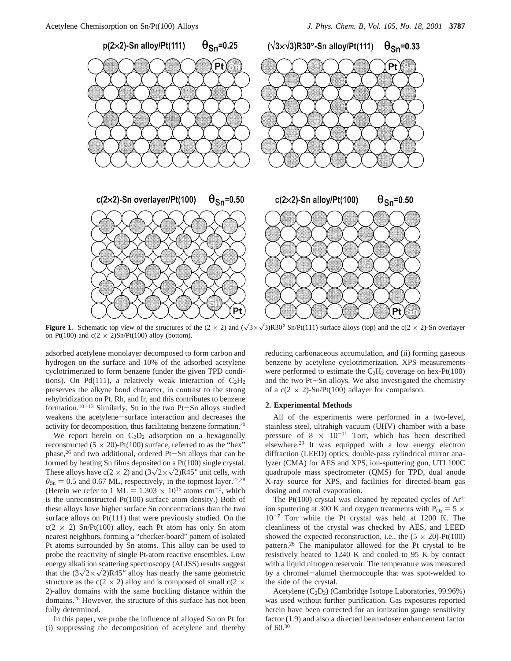

**Figure 1.** Schematic top view of the structures of the  $(2 \times 2)$  and  $(\sqrt{3} \times \sqrt{3})R30^\circ$  Sn/Pt(111) surface alloys (top) and the c(2 × 2)-Sn overlayer on Pt(100) and  $c(2 \times 2)$ Sn/Pt(100) alloy (bottom).

adsorbed acetylene monolayer decomposed to form carbon and hydrogen on the surface and 10% of the adsorbed acetylene cyclotrimerized to form benzene (under the given TPD conditions). On Pd(111), a relatively weak interaction of  $C_2H_2$ preserves the alkyne bond character, in contrast to the strong rehybridization on Pt, Rh, and Ir, and this contributes to benzene formation.10-<sup>13</sup> Similarly, Sn in the two Pt-Sn alloys studied weakens the acetylene-surface interaction and decreases the activity for decomposition, thus facilitating benzene formation.20

We report herein on  $C_2D_2$  adsorption on a hexagonally reconstructed  $(5 \times 20)$ -Pt $(100)$  surface, referred to as the "hex" phase,<sup>26</sup> and two additional, ordered Pt-Sn alloys that can be formed by heating Sn films deposited on a Pt(100) single crystal. These alloys have  $c(2 \times 2)$  and  $(3\sqrt{2} \times \sqrt{2})R45^\circ$  unit cells, with  $\theta_{\text{Sn}} = 0.5$  and 0.67 ML, respectively, in the topmost layer.<sup>27,28</sup> (Herein we refer to 1 ML =  $1.303 \times 10^{15}$  atoms cm<sup>-2</sup>, which is the unreconstructed Pt(100) surface atom density.) Both of these alloys have higher surface Sn concentrations than the two surface alloys on Pt(111) that were previously studied. On the  $c(2 \times 2)$  Sn/Pt(100) alloy, each Pt atom has only Sn atom nearest neighbors, forming a "checker-board" pattern of isolated Pt atoms surrounded by Sn atoms. This alloy can be used to probe the reactivity of single Pt-atom reactive ensembles. Low energy alkali ion scattering spectroscopy (ALISS) results suggest that the  $(3\sqrt{2\times}\sqrt{2})R45^\circ$  alloy has nearly the same geometric structure as the c(2  $\times$  2) alloy and is composed of small c(2  $\times$ 2)-alloy domains with the same buckling distance within the domains.28 However, the structure of this surface has not been fully determined.

In this paper, we probe the influence of alloyed Sn on Pt for (i) suppressing the decomposition of acetylene and thereby reducing carbonaceous accumulation, and (ii) forming gaseous benzene by acetylene cyclotrimerization. XPS measurements were performed to estimate the  $C_2H_2$  coverage on hex-Pt(100) and the two Pt-Sn alloys. We also investigated the chemistry of a  $c(2 \times 2)$ -Sn/Pt(100) adlayer for comparison.

#### **2. Experimental Methods**

All of the experiments were performed in a two-level, stainless steel, ultrahigh vacuum (UHV) chamber with a base pressure of  $8 \times 10^{-11}$  Torr, which has been described elsewhere.29 It was equipped with a low energy electron diffraction (LEED) optics, double-pass cylindrical mirror analyzer (CMA) for AES and XPS, ion-sputtering gun, UTI 100C quadrupole mass spectrometer (QMS) for TPD, dual anode X-ray source for XPS, and facilities for directed-beam gas dosing and metal evaporation.

The Pt(100) crystal was cleaned by repeated cycles of  $Ar^+$ ion sputtering at 300 K and oxygen treatments with  $P_{O_2} = 5 \times$ 10-<sup>7</sup> Torr while the Pt crystal was held at 1200 K. The cleanliness of the crystal was checked by AES, and LEED showed the expected reconstruction, i.e., the  $(5 \times 20)$ -Pt $(100)$ pattern.26 The manipulator allowed for the Pt crystal to be resistively heated to 1240 K and cooled to 95 K by contact with a liquid nitrogen reservoir. The temperature was measured by a chromel-alumel thermocouple that was spot-welded to the side of the crystal.

Acetylene (C2D2) (Cambridge Isotope Laboratories, 99.96%) was used without further purification. Gas exposures reported herein have been corrected for an ionization gauge sensitivity factor (1.9) and also a directed beam-doser enhancement factor of 60.30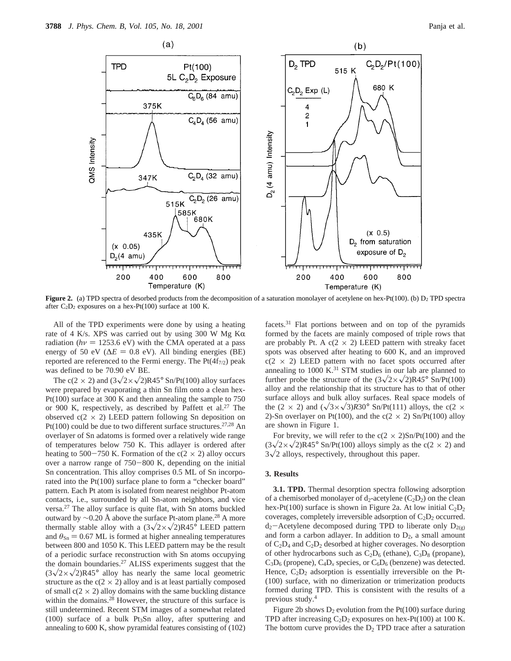

**Figure 2.** (a) TPD spectra of desorbed products from the decomposition of a saturation monolayer of acetylene on hex-Pt(100). (b) D<sub>2</sub> TPD spectra after  $C_2D_2$  exposures on a hex-Pt(100) surface at 100 K.

All of the TPD experiments were done by using a heating rate of 4 K/s. XPS was carried out by using 300 W Mg K $\alpha$ radiation ( $h\nu$  = 1253.6 eV) with the CMA operated at a pass energy of 50 eV ( $\Delta E = 0.8$  eV). All binding energies (BE) reported are referenced to the Fermi energy. The  $Pt(4f_{7/2})$  peak was defined to be 70.90 eV BE.

The c(2  $\times$  2) and (3 $\sqrt{2}\times\sqrt{2}$ )R45° Sn/Pt(100) alloy surfaces were prepared by evaporating a thin Sn film onto a clean hex-Pt(100) surface at 300 K and then annealing the sample to 750 or 900 K, respectively, as described by Paffett et al.<sup>27</sup> The observed  $c(2 \times 2)$  LEED pattern following Sn deposition on Pt(100) could be due to two different surface structures.27,28 An overlayer of Sn adatoms is formed over a relatively wide range of temperatures below 750 K. This adlayer is ordered after heating to 500-750 K. Formation of the  $c(2 \times 2)$  alloy occurs over a narrow range of 750-800 K, depending on the initial Sn concentration. This alloy comprises 0.5 ML of Sn incorporated into the Pt(100) surface plane to form a "checker board" pattern. Each Pt atom is isolated from nearest neighbor Pt-atom contacts, i.e., surrounded by all Sn-atom neighbors, and vice versa.27 The alloy surface is quite flat, with Sn atoms buckled outward by  $\sim$ 0.20 Å above the surface Pt-atom plane.<sup>28</sup> A more thermally stable alloy with a  $(3\sqrt{2\times}\sqrt{2})R45^{\circ}$  LEED pattern and  $\theta_{\text{Sn}} = 0.67$  ML is formed at higher annealing temperatures between 800 and 1050 K. This LEED pattern may be the result of a periodic surface reconstruction with Sn atoms occupying the domain boundaries.27 ALISS experiments suggest that the  $(3\sqrt{2}\times\sqrt{2})R45^{\circ}$  alloy has nearly the same local geometric structure as the  $c(2 \times 2)$  alloy and is at least partially composed of small  $c(2 \times 2)$  alloy domains with the same buckling distance within the domains.<sup>28</sup> However, the structure of this surface is still undetermined. Recent STM images of a somewhat related (100) surface of a bulk  $Pt<sub>3</sub>Sn$  alloy, after sputtering and annealing to 600 K, show pyramidal features consisting of (102) facets.31 Flat portions between and on top of the pyramids formed by the facets are mainly composed of triple rows that are probably Pt. A  $c(2 \times 2)$  LEED pattern with streaky facet spots was observed after heating to 600 K, and an improved  $c(2 \times 2)$  LEED pattern with no facet spots occurred after annealing to  $1000 \text{ K.}^{31}$  STM studies in our lab are planned to further probe the structure of the  $(3\sqrt{2\times}\sqrt{2})R45^{\circ}$  Sn/Pt(100) alloy and the relationship that its structure has to that of other surface alloys and bulk alloy surfaces. Real space models of the (2  $\times$  2) and ( $\sqrt{3}\times\sqrt{3}$ )*R*30° Sn/Pt(111) alloys, the c(2  $\times$ 2)-Sn overlayer on Pt(100), and the c( $2 \times 2$ ) Sn/Pt(100) alloy are shown in Figure 1.

For brevity, we will refer to the  $c(2 \times 2)$ Sn/Pt(100) and the  $(3\sqrt{2\times}\sqrt{2})R45^\circ$  Sn/Pt(100) alloys simply as the c(2  $\times$  2) and  $3\sqrt{2}$  alloys, respectively, throughout this paper.

### **3. Results**

**3.1. TPD.** Thermal desorption spectra following adsorption of a chemisorbed monolayer of  $d_2$ -acetylene  $(C_2D_2)$  on the clean hex-Pt(100) surface is shown in Figure 2a. At low initial  $C_2D_2$ coverages, completely irreversible adsorption of  $C_2D_2$  occurred.  $d_2$ -Acetylene decomposed during TPD to liberate only  $D_{2(g)}$ and form a carbon adlayer. In addition to  $D_2$ , a small amount of  $C_2D_4$  and  $C_2D_2$  desorbed at higher coverages. No desorption of other hydrocarbons such as  $C_2D_6$  (ethane),  $C_3D_8$  (propane),  $C_3D_6$  (propene),  $C_4D_x$  species, or  $C_6D_6$  (benzene) was detected. Hence,  $C_2D_2$  adsorption is essentially irreversible on the Pt-(100) surface, with no dimerization or trimerization products formed during TPD. This is consistent with the results of a previous study.4

Figure 2b shows  $D_2$  evolution from the Pt(100) surface during TPD after increasing  $C_2D_2$  exposures on hex-Pt(100) at 100 K. The bottom curve provides the  $D_2$  TPD trace after a saturation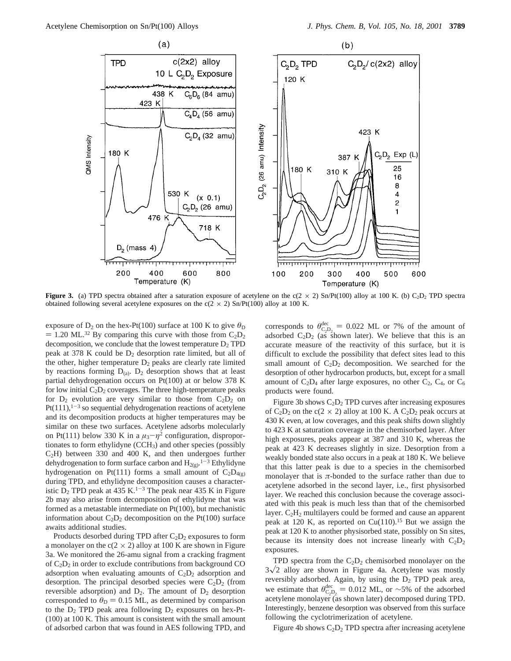

**Figure 3.** (a) TPD spectra obtained after a saturation exposure of acetylene on the  $c(2 \times 2)$  Sn/Pt(100) alloy at 100 K. (b) C<sub>2</sub>D<sub>2</sub> TPD spectra obtained following several acetylene exposures on the  $c(2 \times 2)$  Sn/Pt(100) alloy at 100 K.

exposure of  $D_2$  on the hex-Pt(100) surface at 100 K to give  $\theta_D$  $=$  1.20 ML.<sup>32</sup> By comparing this curve with those from  $C_2D_2$ decomposition, we conclude that the lowest temperature  $D_2$  TPD peak at 378 K could be D2 desorption rate limited, but all of the other, higher temperature  $D_2$  peaks are clearly rate limited by reactions forming  $D_{(a)}$ .  $D_2$  desorption shows that at least partial dehydrogenation occurs on Pt(100) at or below 378 K for low initial  $C_2D_2$  coverages. The three high-temperature peaks for  $D_2$  evolution are very similar to those from  $C_2D_2$  on  $Pt(111),<sup>1-3</sup>$  so sequential dehydrogenation reactions of acetylene and its decomposition products at higher temperatures may be similar on these two surfaces. Acetylene adsorbs molecularly on Pt(111) below 330 K in a  $\mu_3 - \eta^2$  configuration, disproportionates to form ethylidyne (CCH<sub>3</sub>) and other species (possibly C2H) between 330 and 400 K, and then undergoes further dehydrogenation to form surface carbon and  $H_{2(g)}$ .<sup>1-3</sup> Ethylidyne hydrogenation on Pt(111) forms a small amount of  $C_2D_{4(g)}$ during TPD, and ethylidyne decomposition causes a characteristic  $D_2$  TPD peak at 435 K.<sup>1-3</sup> The peak near 435 K in Figure 2b may also arise from decomposition of ethylidyne that was formed as a metastable intermediate on Pt(100), but mechanistic information about  $C_2D_2$  decomposition on the Pt(100) surface awaits additional studies.

Products desorbed during TPD after  $C_2D_2$  exposures to form a monolayer on the  $c(2 \times 2)$  alloy at 100 K are shown in Figure 3a. We monitored the 26-amu signal from a cracking fragment of  $C_2D_2$  in order to exclude contributions from background CO adsorption when evaluating amounts of  $C_2D_2$  adsorption and desorption. The principal desorbed species were  $C_2D_2$  (from reversible adsorption) and  $D_2$ . The amount of  $D_2$  desorption corresponded to  $\theta_{\text{D}} = 0.15$  ML, as determined by comparison to the  $D_2$  TPD peak area following  $D_2$  exposures on hex-Pt-(100) at 100 K. This amount is consistent with the small amount of adsorbed carbon that was found in AES following TPD, and

corresponds to  $\theta_{\text{C}_2\text{D}_2}^{\text{dec}} = 0.022$  ML or 7% of the amount of adsorbed  $C_2\text{D}_2$  (as shown later). We believe that this is an adsorbed  $C_2D_2$  (as shown later). We believe that this is an accurate measure of the reactivity of this surface, but it is difficult to exclude the possibility that defect sites lead to this small amount of  $C_2D_2$  decomposition. We searched for the desorption of other hydrocarbon products, but, except for a small amount of  $C_2D_4$  after large exposures, no other  $C_2$ ,  $C_4$ , or  $C_6$ products were found.

Figure 3b shows  $C_2D_2$  TPD curves after increasing exposures of  $C_2D_2$  on the c(2  $\times$  2) alloy at 100 K. A  $C_2D_2$  peak occurs at 430 K even, at low coverages, and this peak shifts down slightly to 423 K at saturation coverage in the chemisorbed layer. After high exposures, peaks appear at 387 and 310 K, whereas the peak at 423 K decreases slightly in size. Desorption from a weakly bonded state also occurs in a peak at 180 K. We believe that this latter peak is due to a species in the chemisorbed monolayer that is  $\pi$ -bonded to the surface rather than due to acetylene adsorbed in the second layer, i.e., first physisorbed layer. We reached this conclusion because the coverage associated with this peak is much less than that of the chemisorbed layer.  $C_2H_2$  multilayers could be formed and cause an apparent peak at 120 K, as reported on  $Cu(110).<sup>15</sup>$  But we assign the peak at 120 K to another physisorbed state, possibly on Sn sites, because its intensity does not increase linearly with  $C_2D_2$ exposures.

TPD spectra from the  $C_2D_2$  chemisorbed monolayer on the  $3\sqrt{2}$  alloy are shown in Figure 4a. Acetylene was mostly reversibly adsorbed. Again, by using the  $D_2$  TPD peak area, we estimate that  $\theta_{\text{CD}_2}^{\text{dec}} = 0.012 \text{ ML}$ , or ~5% of the adsorbed accrylene monolayer (as shown later) decomposed during TPD acetylene monolayer (as shown later) decomposed during TPD. Interestingly, benzene desorption was observed from this surface following the cyclotrimerization of acetylene.

Figure 4b shows  $C_2D_2$  TPD spectra after increasing acetylene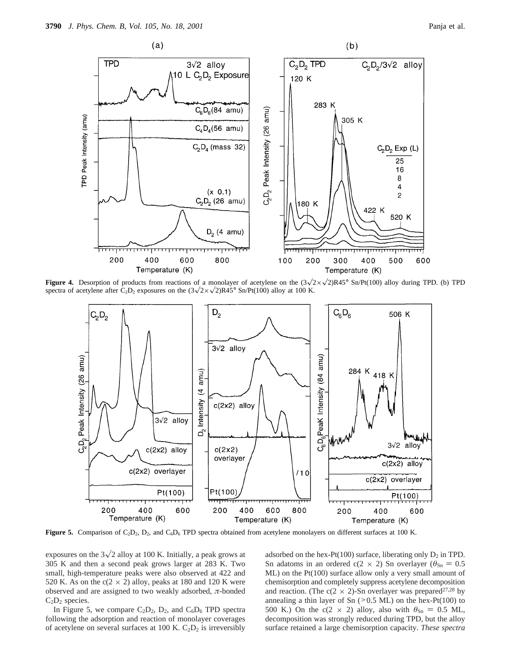

**Figure 4.** Desorption of products from reactions of a monolayer of acetylene on the  $(3\sqrt{2}\times\sqrt{2})R45^{\circ}$  Sn/Pt(100) alloy during TPD. (b) TPD spectra of acetylene after C<sub>2</sub>D<sub>2</sub> exposures on the  $(3\sqrt{2}\times\sqrt{2})R45^\circ$  Sn/Pt(100) alloy at 100 K.



Figure 5. Comparison of C<sub>2</sub>D<sub>2</sub>, D<sub>2</sub>, and C<sub>6</sub>D<sub>6</sub> TPD spectra obtained from acetylene monolayers on different surfaces at 100 K.

exposures on the  $3\sqrt{2}$  alloy at 100 K. Initially, a peak grows at 305 K and then a second peak grows larger at 283 K. Two small, high-temperature peaks were also observed at 422 and 520 K. As on the  $c(2 \times 2)$  alloy, peaks at 180 and 120 K were observed and are assigned to two weakly adsorbed, *π*-bonded  $C_2D_2$  species.

In Figure 5, we compare  $C_2D_2$ ,  $D_2$ , and  $C_6D_6$  TPD spectra following the adsorption and reaction of monolayer coverages of acetylene on several surfaces at 100 K.  $C_2D_2$  is irreversibly

adsorbed on the hex-Pt(100) surface, liberating only  $D_2$  in TPD. Sn adatoms in an ordered c(2  $\times$  2) Sn overlayer ( $\theta_{\text{Sn}} = 0.5$ ML) on the Pt(100) surface allow only a very small amount of chemisorption and completely suppress acetylene decomposition and reaction. (The c(2  $\times$  2)-Sn overlayer was prepared<sup>27,28</sup> by annealing a thin layer of Sn  $(>0.5$  ML) on the hex-Pt(100) to 500 K.) On the c(2  $\times$  2) alloy, also with  $\theta_{\text{Sn}} = 0.5$  ML, decomposition was strongly reduced during TPD, but the alloy surface retained a large chemisorption capacity. *These spectra*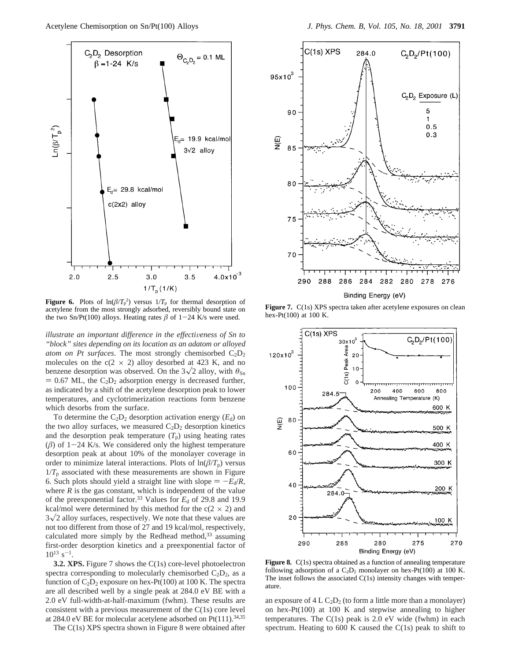

**Figure 6.** Plots of  $\ln(\beta/T_p^2)$  versus  $1/T_p$  for thermal desorption of acetylene from the most strongly adsorbed, reversibly bound state on the two Sn/Pt(100) alloys. Heating rates  $\beta$  of 1-24 K/s were used.

*illustrate an important difference in the effectiveness of Sn to "block" sites depending on its location as an adatom or alloyed atom on Pt surfaces*. The most strongly chemisorbed C2D2 molecules on the  $c(2 \times 2)$  alloy desorbed at 423 K, and no benzene desorption was observed. On the  $3\sqrt{2}$  alloy, with  $\theta_{\text{Sn}}$  $= 0.67$  ML, the C<sub>2</sub>D<sub>2</sub> adsorption energy is decreased further, as indicated by a shift of the acetylene desorption peak to lower temperatures, and cyclotrimerization reactions form benzene which desorbs from the surface.

To determine the  $C_2D_2$  desorption activation energy  $(E_d)$  on the two alloy surfaces, we measured  $C_2D_2$  desorption kinetics and the desorption peak temperature  $(T_p)$  using heating rates  $(\beta)$  of 1-24 K/s. We considered only the highest temperature desorption peak at about 10% of the monolayer coverage in order to minimize lateral interactions. Plots of  $\ln(\beta/T_p)$  versus  $1/T_p$  associated with these measurements are shown in Figure 6. Such plots should yield a straight line with slope  $= -E_d/R$ , where  $R$  is the gas constant, which is independent of the value of the preexponential factor.33 Values for *E*<sup>d</sup> of 29.8 and 19.9 kcal/mol were determined by this method for the  $c(2 \times 2)$  and  $3\sqrt{2}$  alloy surfaces, respectively. We note that these values are not too different from those of 27 and 19 kcal/mol, respectively, calculated more simply by the Redhead method, $33$  assuming first-order desorption kinetics and a preexponential factor of  $10^{13}$  s<sup>-1</sup>.

**3.2. XPS.** Figure 7 shows the C(1s) core-level photoelectron spectra corresponding to molecularly chemisorbed  $C_2D_2$ , as a function of  $C_2D_2$  exposure on hex-Pt(100) at 100 K. The spectra are all described well by a single peak at 284.0 eV BE with a 2.0 eV full-width-at-half-maximum (fwhm). These results are consistent with a previous measurement of the C(1s) core level at 284.0 eV BE for molecular acetylene adsorbed on  $Pt(111).^{34,35}$ 

The C(1s) XPS spectra shown in Figure 8 were obtained after



Figure 7. C(1s) XPS spectra taken after acetylene exposures on clean hex-Pt(100) at 100 K.



**Figure 8.** C(1s) spectra obtained as a function of annealing temperature following adsorption of a  $C_2D_2$  monolayer on hex-Pt(100) at 100 K. The inset follows the associated C(1s) intensity changes with temperature.

an exposure of  $4 L C_2D_2$  (to form a little more than a monolayer) on hex-Pt(100) at 100 K and stepwise annealing to higher temperatures. The  $C(1s)$  peak is 2.0 eV wide (fwhm) in each spectrum. Heating to 600 K caused the C(1s) peak to shift to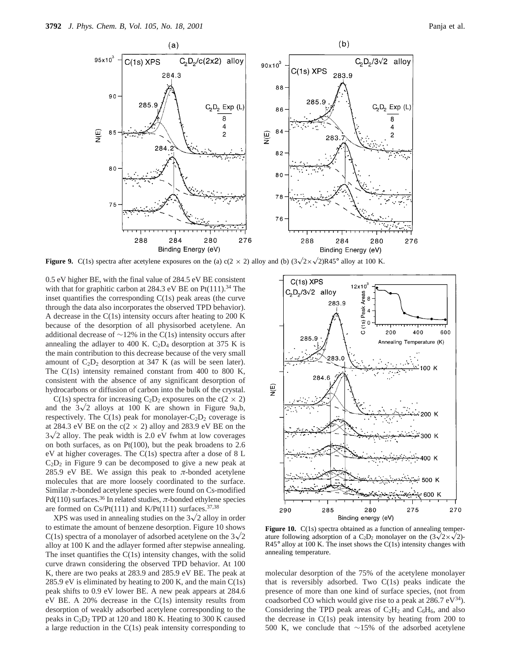

**Figure 9.** C(1s) spectra after acetylene exposures on the (a) c(2 × 2) alloy and (b)  $(3\sqrt{2}\times\sqrt{2})R45^\circ$  alloy at 100 K.

0.5 eV higher BE, with the final value of 284.5 eV BE consistent with that for graphitic carbon at 284.3 eV BE on  $Pt(111).^{34}$  The inset quantifies the corresponding C(1s) peak areas (the curve through the data also incorporates the observed TPD behavior). A decrease in the C(1s) intensity occurs after heating to 200 K because of the desorption of all physisorbed acetylene. An additional decrease of ∼12% in the C(1s) intensity occurs after annealing the adlayer to 400 K.  $C_2D_4$  desorption at 375 K is the main contribution to this decrease because of the very small amount of  $C_2D_2$  desorption at 347 K (as will be seen later). The C(1s) intensity remained constant from 400 to 800 K, consistent with the absence of any significant desorption of hydrocarbons or diffusion of carbon into the bulk of the crystal.

C(1s) spectra for increasing C<sub>2</sub>D<sub>2</sub> exposures on the c(2  $\times$  2) and the  $3\sqrt{2}$  alloys at 100 K are shown in Figure 9a,b, respectively. The C(1s) peak for monolayer- $C_2D_2$  coverage is at 284.3 eV BE on the  $c(2 \times 2)$  alloy and 283.9 eV BE on the  $3\sqrt{2}$  alloy. The peak width is 2.0 eV fwhm at low coverages on both surfaces, as on Pt(100), but the peak broadens to 2.6 eV at higher coverages. The C(1s) spectra after a dose of 8 L  $C_2D_2$  in Figure 9 can be decomposed to give a new peak at 285.9 eV BE. We assign this peak to  $\pi$ -bonded acetylene molecules that are more loosely coordinated to the surface. Similar *π*-bonded acetylene species were found on Cs-modified Pd(110) surfaces.<sup>36</sup> In related studies,  $\pi$ -bonded ethylene species are formed on  $Cs/Pt(111)$  and  $K/Pt(111)$  surfaces.<sup>37,38</sup>

XPS was used in annealing studies on the  $3\sqrt{2}$  alloy in order to estimate the amount of benzene desorption. Figure 10 shows C(1s) spectra of a monolayer of adsorbed acetylene on the  $3\sqrt{2}$ alloy at 100 K and the adlayer formed after stepwise annealing. The inset quantifies the C(1s) intensity changes, with the solid curve drawn considering the observed TPD behavior. At 100 K, there are two peaks at 283.9 and 285.9 eV BE. The peak at 285.9 eV is eliminated by heating to 200 K, and the main C(1s) peak shifts to 0.9 eV lower BE. A new peak appears at 284.6 eV BE. A 20% decrease in the C(1s) intensity results from desorption of weakly adsorbed acetylene corresponding to the peaks in  $C_2D_2$  TPD at 120 and 180 K. Heating to 300 K caused a large reduction in the C(1s) peak intensity corresponding to



**Figure 10.** C(1s) spectra obtained as a function of annealing temperature following adsorption of a C<sub>2</sub>D<sub>2</sub> monolayer on the  $(3\sqrt{2}\times\sqrt{2})$ - $R45^\circ$  alloy at 100 K. The inset shows the C(1s) intensity changes with annealing temperature.

molecular desorption of the 75% of the acetylene monolayer that is reversibly adsorbed. Two C(1s) peaks indicate the presence of more than one kind of surface species, (not from coadsorbed CO which would give rise to a peak at  $286.7 \text{ eV}^{34}$ . Considering the TPD peak areas of  $C_2H_2$  and  $C_6H_6$ , and also the decrease in C(1s) peak intensity by heating from 200 to 500 K, we conclude that ∼15% of the adsorbed acetylene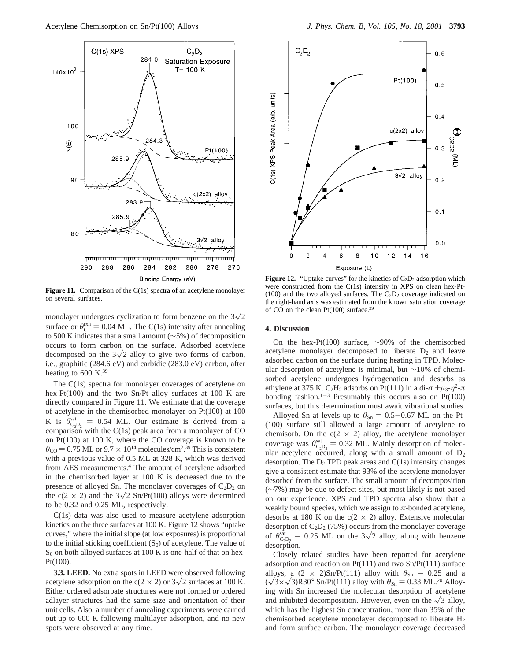

**Figure 11.** Comparison of the C(1s) spectra of an acetylene monolayer on several surfaces.

monolayer undergoes cyclization to form benzene on the  $3\sqrt{2}$ surface or  $\theta_{\rm C}^{\rm rxn} = 0.04$  ML. The C(1s) intensity after annealing to 500 K indicates that a small amount ( $\sim$ 5%) of decomposition to 500 K indicates that a small amount (∼5%) of decomposition occurs to form carbon on the surface. Adsorbed acetylene decomposed on the  $3\sqrt{2}$  alloy to give two forms of carbon, i.e., graphitic (284.6 eV) and carbidic (283.0 eV) carbon, after heating to 600 K. $^{39}$ 

The C(1s) spectra for monolayer coverages of acetylene on hex-Pt(100) and the two Sn/Pt alloy surfaces at 100 K are directly compared in Figure 11. We estimate that the coverage of acetylene in the chemisorbed monolayer on Pt(100) at 100 K is  $\theta_{\text{CD}_2}^{\text{sat}} = 0.54$  ML. Our estimate is derived from a comparison with the  $C(1s)$  peak area from a monolayer of CO comparison with the  $C(1s)$  peak area from a monolayer of  $CO$ on Pt(100) at 100 K, where the CO coverage is known to be  $\theta_{\rm CO}$  = 0.75 ML or 9.7  $\times$  10<sup>14</sup> molecules/cm<sup>2</sup>.<sup>39</sup> This is consistent with a previous value of 0.5 ML at 328 K, which was derived with a previous value of 0.5 ML at 328 K, which was derived from AES measurements.<sup>4</sup> The amount of acetylene adsorbed in the chemisorbed layer at 100 K is decreased due to the presence of alloyed Sn. The monolayer coverages of  $C_2D_2$  on the c(2  $\times$  2) and the 3 $\sqrt{2}$  Sn/Pt(100) alloys were determined to be 0.32 and 0.25 ML, respectively.

C(1s) data was also used to measure acetylene adsorption kinetics on the three surfaces at 100 K. Figure 12 shows "uptake curves," where the initial slope (at low exposures) is proportional to the initial sticking coefficient  $(S_0)$  of acetylene. The value of  $S_0$  on both alloyed surfaces at 100 K is one-half of that on hex-Pt(100).

**3.3. LEED.** No extra spots in LEED were observed following acetylene adsorption on the c(2  $\times$  2) or 3 $\sqrt{2}$  surfaces at 100 K. Either ordered adsorbate structures were not formed or ordered adlayer structures had the same size and orientation of their unit cells. Also, a number of annealing experiments were carried out up to 600 K following multilayer adsorption, and no new spots were observed at any time.



**Figure 12.** "Uptake curves" for the kinetics of  $C_2D_2$  adsorption which were constructed from the C(1s) intensity in XPS on clean hex-Pt- (100) and the two alloyed surfaces. The  $C_2D_2$  coverage indicated on the right-hand axis was estimated from the known saturation coverage of CO on the clean  $Pt(100)$  surface.<sup>39</sup>

### **4. Discussion**

On the hex-Pt(100) surface, ∼90% of the chemisorbed acetylene monolayer decomposed to liberate  $D_2$  and leave adsorbed carbon on the surface during heating in TPD. Molecular desorption of acetylene is minimal, but ∼10% of chemisorbed acetylene undergoes hydrogenation and desorbs as ethylene at 375 K. C<sub>2</sub>H<sub>2</sub> adsorbs on Pt(111) in a di- $\sigma + \mu_3 - \eta^2 - \pi$ bonding fashion.<sup>1-3</sup> Presumably this occurs also on Pt(100) surfaces, but this determination must await vibrational studies.

Alloyed Sn at levels up to  $\theta_{\text{Sn}} = 0.5{\text -}0.67$  ML on the Pt-(100) surface still allowed a large amount of acetylene to chemisorb. On the  $c(2 \times 2)$  alloy, the acetylene monolayer coverage was  $\theta_{\text{CD}_2}^{\text{sat}} = 0.32 \text{ ML}$ . Mainly desorption of molec-<br>ular acetylene occurred along with a small amount of Do ular acetylene occurred, along with a small amount of  $D_2$ desorption. The  $D_2$  TPD peak areas and  $C(1s)$  intensity changes give a consistent estimate that 93% of the acetylene monolayer desorbed from the surface. The small amount of decomposition (∼7%) may be due to defect sites, but most likely is not based on our experience. XPS and TPD spectra also show that a weakly bound species, which we assign to *π*-bonded acetylene, desorbs at 180 K on the  $c(2 \times 2)$  alloy. Extensive molecular desorption of  $C_2D_2$  (75%) occurs from the monolayer coverage of  $\theta_{\text{c}_2\text{D}_2}^{\text{sat}} = 0.25$  ML on the  $3\sqrt{2}$  alloy, along with benzene description desorption.

Closely related studies have been reported for acetylene adsorption and reaction on Pt(111) and two Sn/Pt(111) surface alloys, a  $(2 \times 2)$ Sn/Pt(111) alloy with  $\theta_{\text{Sn}} = 0.25$  and a  $(\sqrt{3} \times \sqrt{3})$ R30° Sn/Pt(111) alloy with  $\theta_{\text{Sn}} = 0.33$  ML.<sup>20</sup> Alloying with Sn increased the molecular desorption of acetylene and inhibited decomposition. However, even on the  $\sqrt{3}$  alloy, which has the highest Sn concentration, more than 35% of the chemisorbed acetylene monolayer decomposed to liberate H2 and form surface carbon. The monolayer coverage decreased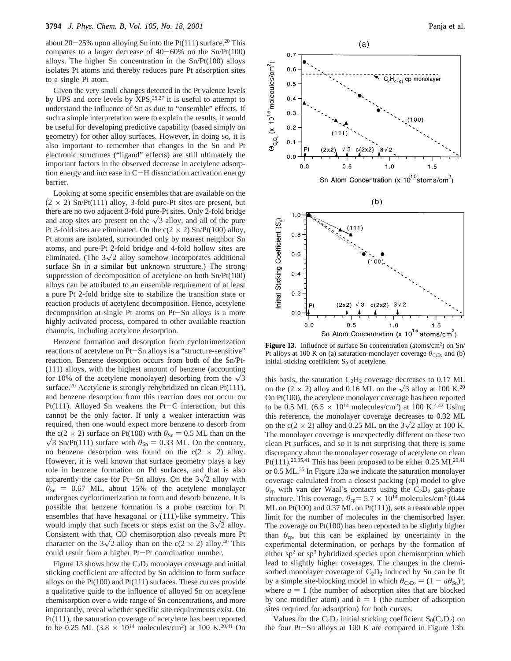about  $20-25%$  upon alloying Sn into the Pt(111) surface.<sup>20</sup> This compares to a larger decrease of  $40-60\%$  on the Sn/Pt(100) alloys. The higher Sn concentration in the Sn/Pt(100) alloys isolates Pt atoms and thereby reduces pure Pt adsorption sites to a single Pt atom.

Given the very small changes detected in the Pt valence levels by UPS and core levels by  $XPS$ ,  $25,27$  it is useful to attempt to understand the influence of Sn as due to "ensemble" effects. If such a simple interpretation were to explain the results, it would be useful for developing predictive capability (based simply on geometry) for other alloy surfaces. However, in doing so, it is also important to remember that changes in the Sn and Pt electronic structures ("ligand" effects) are still ultimately the important factors in the observed decrease in acetylene adsorption energy and increase in C-H dissociation activation energy barrier.

Looking at some specific ensembles that are available on the  $(2 \times 2)$  Sn/Pt(111) alloy, 3-fold pure-Pt sites are present, but there are no two adjacent 3-fold pure-Pt sites. Only 2-fold bridge and atop sites are present on the  $\sqrt{3}$  alloy, and all of the pure Pt 3-fold sites are eliminated. On the  $c(2 \times 2)$  Sn/Pt(100) alloy, Pt atoms are isolated, surrounded only by nearest neighbor Sn atoms, and pure-Pt 2-fold bridge and 4-fold hollow sites are eliminated. (The  $3\sqrt{2}$  alloy somehow incorporates additional surface Sn in a similar but unknown structure.) The strong suppression of decomposition of acetylene on both Sn/Pt(100) alloys can be attributed to an ensemble requirement of at least a pure Pt 2-fold bridge site to stabilize the transition state or reaction products of acetylene decomposition. Hence, acetylene decomposition at single Pt atoms on Pt-Sn alloys is a more highly activated process, compared to other available reaction channels, including acetylene desorption.

Benzene formation and desorption from cyclotrimerization reactions of acetylene on Pt-Sn alloys is a "structure-sensitive" reaction. Benzene desorption occurs from both of the Sn/Pt- (111) alloys, with the highest amount of benzene (accounting for 10% of the acetylene monolayer) desorbing from the  $\sqrt{3}$ surface.<sup>20</sup> Acetylene is strongly rehybridized on clean Pt(111), and benzene desorption from this reaction does not occur on Pt(111). Alloyed Sn weakens the Pt-C interaction, but this cannot be the only factor. If only a weaker interaction was required, then one would expect more benzene to desorb from the c(2  $\times$  2) surface on Pt(100) with  $\theta_{\rm Sn} = 0.5$  ML than on the  $\sqrt{3}$  Sn/Pt(111) surface with  $\theta_{\text{Sn}} = 0.33$  ML. On the contrary, no benzene desorption was found on the  $c(2 \times 2)$  alloy. However, it is well known that surface geometry plays a key role in benzene formation on Pd surfaces, and that is also apparently the case for Pt-Sn alloys. On the  $3\sqrt{2}$  alloy with  $\theta_{\text{Sn}} = 0.67$  ML, about 15% of the acetylene monolayer undergoes cyclotrimerization to form and desorb benzene. It is possible that benzene formation is a probe reaction for Pt ensembles that have hexagonal or (111)-like symmetry. This would imply that such facets or steps exist on the  $3\sqrt{2}$  alloy. Consistent with that, CO chemisorption also reveals more Pt character on the  $3\sqrt{2}$  alloy than on the c(2  $\times$  2) alloy.<sup>40</sup> This could result from a higher Pt-Pt coordination number.

Figure 13 shows how the  $C_2D_2$  monolayer coverage and initial sticking coefficient are affected by Sn addition to form surface alloys on the Pt(100) and Pt(111) surfaces. These curves provide a qualitative guide to the influence of alloyed Sn on acetylene chemisorption over a wide range of Sn concentrations, and more importantly, reveal whether specific site requirements exist. On Pt(111), the saturation coverage of acetylene has been reported to be 0.25 ML (3.8  $\times$  10<sup>14</sup> molecules/cm<sup>2</sup>) at 100 K.<sup>20,41</sup> On



Figure 13. Influence of surface Sn concentration (atoms/cm<sup>2</sup>) on Sn/ Pt alloys at 100 K on (a) saturation-monolayer coverage  $\theta_{C_2D_2}$  and (b) initial sticking coefficient  $S_0$  of acetylene.

this basis, the saturation  $C_2H_2$  coverage decreases to 0.17 ML on the (2  $\times$  2) alloy and 0.16 ML on the  $\sqrt{3}$  alloy at 100 K.<sup>20</sup> On Pt(100), the acetylene monolayer coverage has been reported to be 0.5 ML (6.5  $\times$  10<sup>14</sup> molecules/cm<sup>2</sup>) at 100 K.<sup>4,42</sup> Using this reference, the monolayer coverage decreases to 0.32 ML on the c(2  $\times$  2) alloy and 0.25 ML on the 3 $\sqrt{2}$  alloy at 100 K. The monolayer coverage is unexpectedly different on these two clean Pt surfaces, and so it is not surprising that there is some discrepancy about the monolayer coverage of acetylene on clean Pt(111).<sup>20,35,41</sup> This has been proposed to be either 0.25 ML<sup>20,41</sup> or 0.5 ML.35 In Figure 13a we indicate the saturation monolayer coverage calculated from a closest packing (cp) model to give  $\theta_{cp}$  with van der Waal's contacts using the C<sub>2</sub>D<sub>2</sub> gas-phase structure. This coverage,  $\theta_{cp} = 5.7 \times 10^{14}$  molecules/cm<sup>2</sup> (0.44) ML on Pt(100) and 0.37 ML on Pt(111)), sets a reasonable upper limit for the number of molecules in the chemisorbed layer. The coverage on  $Pt(100)$  has been reported to be slightly higher than  $\theta_{\rm cp}$ , but this can be explained by uncertainty in the experimental determination, or perhaps by the formation of either  $sp<sup>2</sup>$  or  $sp<sup>3</sup>$  hybridized species upon chemisorption which lead to slightly higher coverages. The changes in the chemisorbed monolayer coverage of  $C_2D_2$  induced by Sn can be fit by a simple site-blocking model in which  $\theta_{\text{C}_2D_2} = (1 - a\theta_{\text{Sn}})^b$ , where  $a = 1$  (the number of adsorption sites that are blocked by one modifier atom) and  $b = 1$  (the number of adsorption sites required for adsorption) for both curves.

Values for the  $C_2D_2$  initial sticking coefficient  $S_0(C_2D_2)$  on the four Pt-Sn alloys at 100 K are compared in Figure 13b.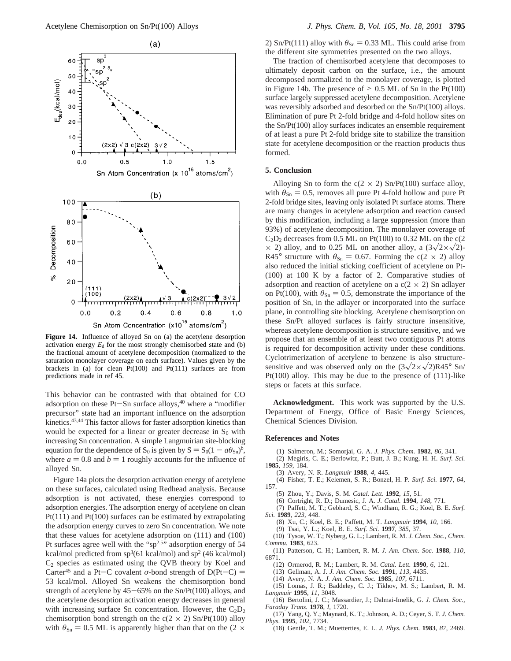

**Figure 14.** Influence of alloyed Sn on (a) the acetylene desorption activation energy  $E_d$  for the most strongly chemisorbed state and (b) the fractional amount of acetylene decomposition (normalized to the saturation monolayer coverage on each surface). Values given by the brackets in (a) for clean  $Pt(100)$  and  $Pt(111)$  surfaces are from predictions made in ref 45.

This behavior can be contrasted with that obtained for CO adsorption on these  $Pt-Sn$  surface alloys,  $40$  where a "modifier precursor" state had an important influence on the adsorption kinetics.43,44 This factor allows for faster adsorption kinetics than would be expected for a linear or greater decrease in  $S_0$  with increasing Sn concentration. A simple Langmuirian site-blocking equation for the dependence of S<sub>0</sub> is given by  $S = S_0(1 - a\theta_{\text{Sn}})^b$ , where  $a = 0.8$  and  $b = 1$  roughly accounts for the influence of alloyed Sn.

Figure 14a plots the desorption activation energy of acetylene on these surfaces, calculated using Redhead analysis. Because adsorption is not activated, these energies correspond to adsorption energies. The adsorption energy of acetylene on clean Pt(111) and Pt(100) surfaces can be estimated by extrapolating the adsorption energy curves to zero Sn concentration. We note that these values for acetylene adsorption on (111) and (100) Pt surfaces agree well with the " $sp<sup>2.5</sup>$ " adsorption energy of 54 kcal/mol predicted from  $sp^3(61 \text{ kcal/mol})$  and  $sp^2(46 \text{ kcal/mol})$  $C_2$  species as estimated using the QVB theory by Koel and Carter<sup>45</sup> and a Pt-C covalent  $\sigma$ -bond strength of D(Pt-C) = 53 kcal/mol. Alloyed Sn weakens the chemisorption bond strength of acetylene by  $45-65%$  on the Sn/Pt(100) alloys, and the acetylene desorption activation energy decreases in general with increasing surface Sn concentration. However, the  $C_2D_2$ chemisorption bond strength on the  $c(2 \times 2)$  Sn/Pt(100) alloy with  $\theta_{\text{Sn}} = 0.5$  ML is apparently higher than that on the (2  $\times$  2) Sn/Pt(111) alloy with  $\theta_{\text{Sn}} = 0.33$  ML. This could arise from the different site symmetries presented on the two alloys.

The fraction of chemisorbed acetylene that decomposes to ultimately deposit carbon on the surface, i.e., the amount decomposed normalized to the monolayer coverage, is plotted in Figure 14b. The presence of  $\geq 0.5$  ML of Sn in the Pt(100) surface largely suppressed acetylene decomposition. Acetylene was reversibly adsorbed and desorbed on the Sn/Pt(100) alloys. Elimination of pure Pt 2-fold bridge and 4-fold hollow sites on the Sn/Pt(100) alloy surfaces indicates an ensemble requirement of at least a pure Pt 2-fold bridge site to stabilize the transition state for acetylene decomposition or the reaction products thus formed.

### **5. Conclusion**

Alloying Sn to form the  $c(2 \times 2)$  Sn/Pt(100) surface alloy, with  $\theta_{\text{Sn}} = 0.5$ , removes all pure Pt 4-fold hollow and pure Pt 2-fold bridge sites, leaving only isolated Pt surface atoms. There are many changes in acetylene adsorption and reaction caused by this modification, including a large suppression (more than 93%) of acetylene decomposition. The monolayer coverage of  $C_2D_2$  decreases from 0.5 ML on Pt(100) to 0.32 ML on the c(2  $\times$  2) alloy, and to 0.25 ML on another alloy, a  $(3\sqrt{2}\times\sqrt{2})$ -R45° structure with  $\theta_{\text{Sn}} = 0.67$ . Forming the c(2 × 2) alloy also reduced the initial sticking coefficient of acetylene on Pt- (100) at 100 K by a factor of 2. Comparative studies of adsorption and reaction of acetylene on a  $c(2 \times 2)$  Sn adlayer on Pt(100), with  $\theta_{\text{Sn}} = 0.5$ , demonstrate the importance of the position of Sn, in the adlayer or incorporated into the surface plane, in controlling site blocking. Acetylene chemisorption on these Sn/Pt alloyed surfaces is fairly structure insensitive, whereas acetylene decomposition is structure sensitive, and we propose that an ensemble of at least two contiguous Pt atoms is required for decomposition activity under these conditions. Cyclotrimerization of acetylene to benzene is also structuresensitive and was observed only on the  $(3\sqrt{2\times}\sqrt{2})R45^{\circ}$  Sn/ Pt(100) alloy. This may be due to the presence of (111)-like steps or facets at this surface.

**Acknowledgment.** This work was supported by the U.S. Department of Energy, Office of Basic Energy Sciences, Chemical Sciences Division.

#### **References and Notes**

- (1) Salmeron, M.; Somorjai, G. A. *J. Phys. Chem.* **1982**, *86*, 341.
- (2) Megiris, C. E.; Berlowitz, P.; Butt, J. B.; Kung, H. H. *Surf. Sci.* 1**985**, *159*, 184.
	- (3) Avery, N. R. *Langmuir* **1988**, *4*, 445.
- (4) Fisher, T. E.; Kelemen, S. R.; Bonzel, H. P. *Surf. Sci.* **1977**, *64*, 157.
	- (5) Zhou, Y.; Davis, S. M. *Catal. Lett*. **1992**, *15*, 51.
	- (6) Cortright, R. D.; Dumesic, J. A. *J. Catal.* **1994**, *148*, 771.
- (7) Paffett, M. T.; Gebhard, S. C.; Windham, R. G.; Koel, B. E. *Surf. Sci.* **1989**, *223*, 448.
	- (8) Xu, C.; Koel, B. E.; Paffett, M. T. *Langmuir* **1994**, *10*, 166.
	- (9) Tsai, Y. L.; Koel, B. E. *Surf. Sci.* **1997**, *385*, 37.
- (10) Tysoe, W. T.; Nyberg, G. L.; Lambert, R. M. *J. Chem. Soc., Chem. Commu.* **1983**, 623.
- (11) Patterson, C. H.; Lambert, R. M. *J. Am. Chem. Soc.* **1988**, *110*, 6871.
	- (12) Ormerod, R. M.; Lambert, R. M. *Catal. Lett.* **1990**, *6*, 121.
	- (13) Gellman, A. J. *J. Am. Chem. Soc.* **1991**, *113*, 4435.
	- (14) Avery, N. A. *J. Am. Chem. Soc.* **1985**, *107*, 6711.
- (15) Lomas, J. R.; Baddeley, C. J.; Tikhov, M. S.; Lambert, R. M. *Langmuir* **1995**, *11*, 3048.
- (16) Bertolini, J. C.; Massardier, J.; Dalmai-Imelik, G. *J. Chem. Soc., Faraday Trans.* **1978**, *I*, 1720.
- (17) Yang, Q. Y.; Maynard, K. T.; Johnson, A. D.; Ceyer, S. T. *J. Chem. Phys*. **1995**, *102*, 7734.
- (18) Gentle, T. M.; Muetterties, E. L. *J. Phys. Chem.* **1983**, *87*, 2469.